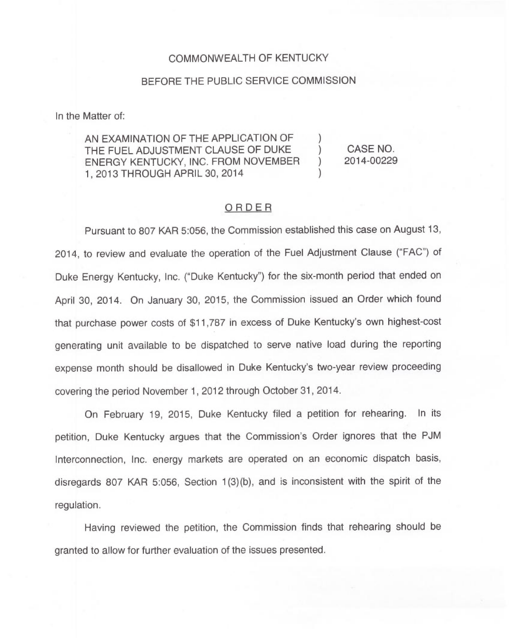## COMMONWEALTH OF KENTUCKY

## BEFORE THE PUBLIC SERVICE COMMISSION

In the Matter of:

AN EXAMINATION OF THE APPLICATION OF THE FUEL ADJUSTMENT CLAUSE OF DUKE  $\qquad$  ) CASE NO.<br>
FNERGY KENTUCKY. INC. FROM NOVEMBER ) 2014-00229 ENERGY KENTUCKY, INC. FROM NOVEMBER 1, 2013 THROUGH APRIL 30, 2014 )

## ORDER

Pursuant to 807 KAR 5:056, the Commission established this case on August 13, 2014, to review and evaluate the operation of the Fuel Adjustment Clause ("FAC") of Duke Energy Kentucky, Inc. ("Duke Kentucky") for the six-month period that ended or April 30, 2014. On January 30, 2015, the Commission issued an Order which found that purchase power costs of \$11,787 in excess of Duke Kentucky's own highest-cost generating unit available to be dispatched to serve native load during the reporting expense month should be disallowed in Duke Kentucky's two-year review proceeding covering the period November 1, 2012 through October 31, 2014.

On February 19, 2015, Duke Kentucky filed a petition for rehearing. In its petition, Duke Kentucky argues that the Commission's Order ignores that the PJM Interconnection, Inc. energy markets are operated on an economic dispatch basis, disregards 807 KAR 5:056, Section 1(3)(b), and is inconsistent with the spirit of the regulation.

Having reviewed the petition, the Commission finds that rehearing should be granted to allow for further evaluation of the issues presented.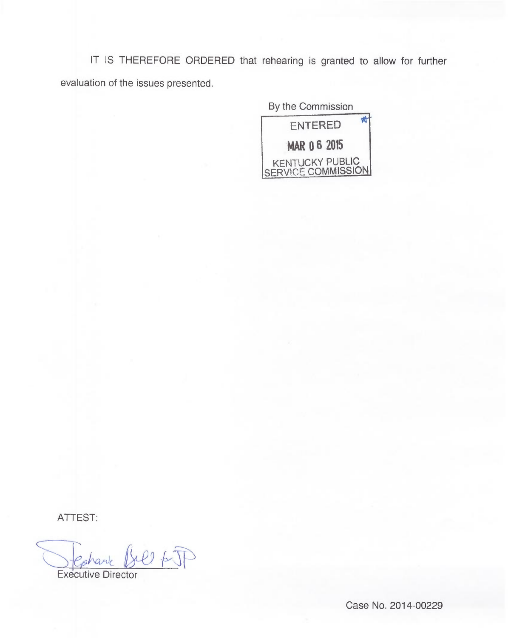IT IS THEREFORE ORDERED that rehearing is granted to allow for further evaluation of the issues presented.

By the Commission



ATTEST:

 $4040$ 

Executive Director

Case No. 2014-00229